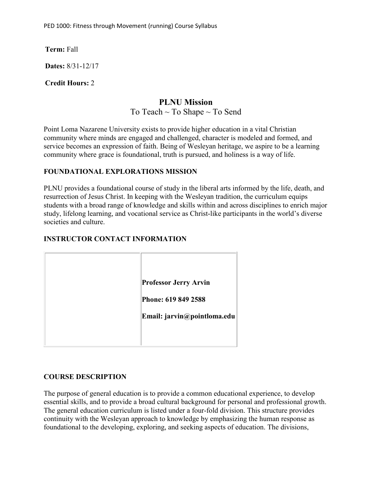**Term:** Fall

**Dates:** 8/31-12/17

**Credit Hours:** 2

# **PLNU Mission**

To Teach  $\sim$  To Shape  $\sim$  To Send

Point Loma Nazarene University exists to provide higher education in a vital Christian community where minds are engaged and challenged, character is modeled and formed, and service becomes an expression of faith. Being of Wesleyan heritage, we aspire to be a learning community where grace is foundational, truth is pursued, and holiness is a way of life.

### **FOUNDATIONAL EXPLORATIONS MISSION**

PLNU provides a foundational course of study in the liberal arts informed by the life, death, and resurrection of Jesus Christ. In keeping with the Wesleyan tradition, the curriculum equips students with a broad range of knowledge and skills within and across disciplines to enrich major study, lifelong learning, and vocational service as Christ-like participants in the world's diverse societies and culture.

### **INSTRUCTOR CONTACT INFORMATION**

| <b>Professor Jerry Arvin</b> |
|------------------------------|
| Phone: 619 849 2588          |
| Email: jarvin@pointloma.edu  |
|                              |

#### **COURSE DESCRIPTION**

The purpose of general education is to provide a common educational experience, to develop essential skills, and to provide a broad cultural background for personal and professional growth. The general education curriculum is listed under a four-fold division. This structure provides continuity with the Wesleyan approach to knowledge by emphasizing the human response as foundational to the developing, exploring, and seeking aspects of education. The divisions,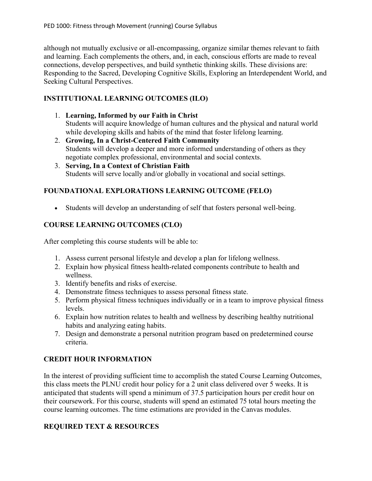although not mutually exclusive or all-encompassing, organize similar themes relevant to faith and learning. Each complements the others, and, in each, conscious efforts are made to reveal connections, develop perspectives, and build synthetic thinking skills. These divisions are: Responding to the Sacred, Developing Cognitive Skills, Exploring an Interdependent World, and Seeking Cultural Perspectives.

## **INSTITUTIONAL LEARNING OUTCOMES (ILO)**

- 1. **Learning, Informed by our Faith in Christ** Students will acquire knowledge of human cultures and the physical and natural world while developing skills and habits of the mind that foster lifelong learning.
- 2. **Growing, In a Christ-Centered Faith Community** Students will develop a deeper and more informed understanding of others as they negotiate complex professional, environmental and social contexts.
- 3. **Serving, In a Context of Christian Faith** Students will serve locally and/or globally in vocational and social settings.

# **FOUNDATIONAL EXPLORATIONS LEARNING OUTCOME (FELO)**

• Students will develop an understanding of self that fosters personal well-being.

# **COURSE LEARNING OUTCOMES (CLO)**

After completing this course students will be able to:

- 1. Assess current personal lifestyle and develop a plan for lifelong wellness.
- 2. Explain how physical fitness health-related components contribute to health and wellness.
- 3. Identify benefits and risks of exercise.
- 4. Demonstrate fitness techniques to assess personal fitness state.
- 5. Perform physical fitness techniques individually or in a team to improve physical fitness levels.
- 6. Explain how nutrition relates to health and wellness by describing healthy nutritional habits and analyzing eating habits.
- 7. Design and demonstrate a personal nutrition program based on predetermined course criteria.

# **CREDIT HOUR INFORMATION**

In the interest of providing sufficient time to accomplish the stated Course Learning Outcomes, this class meets the PLNU credit hour policy for a 2 unit class delivered over 5 weeks. It is anticipated that students will spend a minimum of 37.5 participation hours per credit hour on their coursework. For this course, students will spend an estimated 75 total hours meeting the course learning outcomes. The time estimations are provided in the Canvas modules.

# **REQUIRED TEXT & RESOURCES**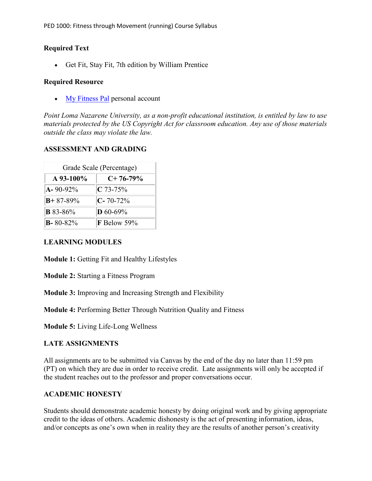#### **Required Text**

• Get Fit, Stay Fit, 7th edition by William Prentice

#### **Required Resource**

• [My Fitness Pal](https://www.myfitnesspal.com/) personal account

*Point Loma Nazarene University, as a non-profit educational institution, is entitled by law to use materials protected by the US Copyright Act for classroom education. Any use of those materials outside the class may violate the law.*

#### **ASSESSMENT AND GRADING**

| Grade Scale (Percentage) |                 |
|--------------------------|-----------------|
| $A\,93-100\%$            | $C+76-79\%$     |
| $A - 90 - 92\%$          | $C$ 73-75%      |
| $B + 87 - 89\%$          | $C - 70 - 72%$  |
| <b>B</b> 83-86%          | <b>D</b> 60-69% |
| $B - 80 - 82\%$          | F Below 59%     |

#### **LEARNING MODULES**

**Module 1:** Getting Fit and Healthy Lifestyles

**Module 2:** Starting a Fitness Program

**Module 3:** Improving and Increasing Strength and Flexibility

**Module 4:** Performing Better Through Nutrition Quality and Fitness

**Module 5:** Living Life-Long Wellness

#### **LATE ASSIGNMENTS**

All assignments are to be submitted via Canvas by the end of the day no later than 11:59 pm (PT) on which they are due in order to receive credit. Late assignments will only be accepted if the student reaches out to the professor and proper conversations occur.

#### **ACADEMIC HONESTY**

Students should demonstrate academic honesty by doing original work and by giving appropriate credit to the ideas of others. Academic dishonesty is the act of presenting information, ideas, and/or concepts as one's own when in reality they are the results of another person's creativity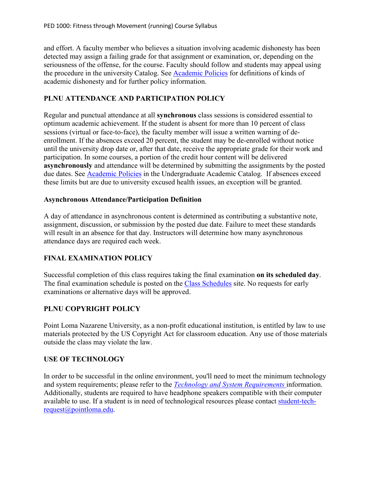and effort. A faculty member who believes a situation involving academic dishonesty has been detected may assign a failing grade for that assignment or examination, or, depending on the seriousness of the offense, for the course. Faculty should follow and students may appeal using the procedure in the university Catalog. See [Academic Policies](https://catalog.pointloma.edu/content.php?catoid=41&navoid=2435#Academic_Honesty) for definitions of kinds of academic dishonesty and for further policy information.

### **PLNU ATTENDANCE AND PARTICIPATION POLICY**

Regular and punctual attendance at all **synchronous** class sessions is considered essential to optimum academic achievement. If the student is absent for more than 10 percent of class sessions (virtual or face-to-face), the faculty member will issue a written warning of deenrollment. If the absences exceed 20 percent, the student may be de-enrolled without notice until the university drop date or, after that date, receive the appropriate grade for their work and participation. In some courses, a portion of the credit hour content will be delivered **asynchronously** and attendance will be determined by submitting the assignments by the posted due dates. See [Academic Policies](https://catalog.pointloma.edu/content.php?catoid=46&navoid=2650#Class_Attendance) in the Undergraduate Academic Catalog. If absences exceed these limits but are due to university excused health issues, an exception will be granted.

#### **Asynchronous Attendance/Participation Definition**

A day of attendance in asynchronous content is determined as contributing a substantive note, assignment, discussion, or submission by the posted due date. Failure to meet these standards will result in an absence for that day. Instructors will determine how many asynchronous attendance days are required each week.

## **FINAL EXAMINATION POLICY**

Successful completion of this class requires taking the final examination **on its scheduled day**. The final examination schedule is posted on the [Class Schedules](http://www.pointloma.edu/experience/academics/class-schedules) site. No requests for early examinations or alternative days will be approved.

#### **PLNU COPYRIGHT POLICY**

Point Loma Nazarene University, as a non-profit educational institution, is entitled by law to use materials protected by the US Copyright Act for classroom education. Any use of those materials outside the class may violate the law.

#### **USE OF TECHNOLOGY**

In order to be successful in the online environment, you'll need to meet the minimum technology and system requirements; please refer to the *[Technology and System Requirements](https://help.pointloma.edu/TDClient/1808/Portal/KB/ArticleDet?ID=108349)* information. Additionally, students are required to have headphone speakers compatible with their computer available to use. If a student is in need of technological resources please contact [student-tech](mailto:student-tech-request@pointloma.edu)[request@pointloma.edu.](mailto:student-tech-request@pointloma.edu)